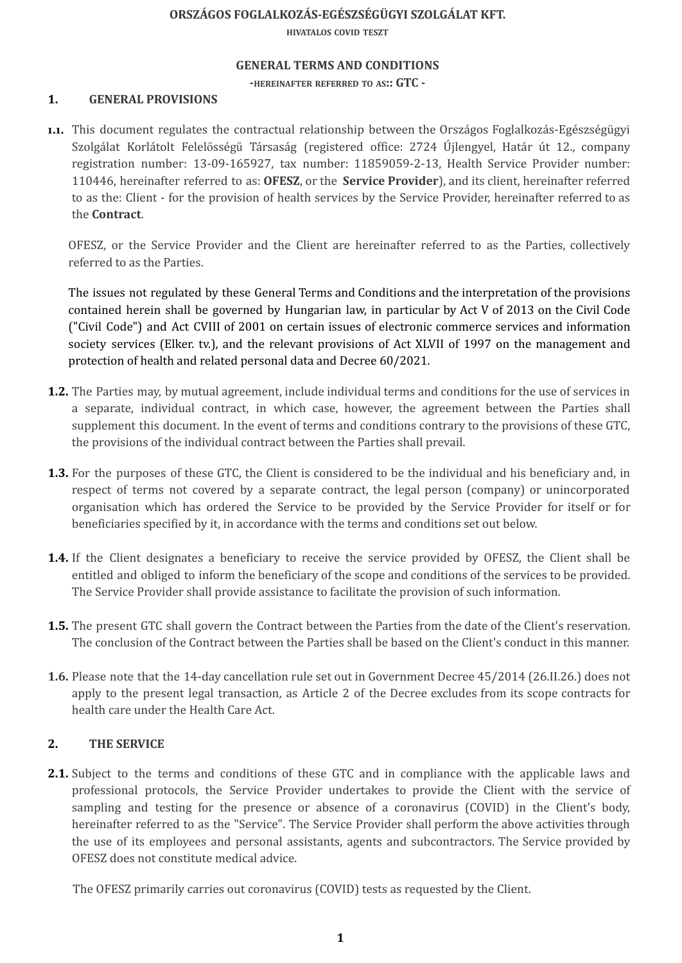## **ORSZÁGOS FOGLALKOZÁS-EGÉSZSÉGÜGYI SZOLGÁLAT KFT.**

**HIVATALOS COVID TESZT**

### **GENERAL TERMS AND CONDITIONS**

**-HEREINAFTER REFERRED TO AS:: GTC -**

## **1. GENERAL PROVISIONS**

**1.1.** This document regulates the contractual relationship between the Országos Foglalkozás-Egészségügyi Szolgálat Korlátolt Felelősségű Társaság (registered office: 2724 Újlengyel, Határ út 12., company registration number: 13-09-165927, tax number: 11859059-2-13, Health Service Provider number: 110446, hereinafter referred to as: **OFESZ**, or the **Service Provider**), and its client, hereinafter referred to as the: Client - for the provision of health services by the Service Provider, hereinafter referred to as the **Contract**.

OFESZ, or the Service Provider and the Client are hereinafter referred to as the Parties, collectively referred to as the Parties.

The issues not regulated by these General Terms and Conditions and the interpretation of the provisions contained herein shall be governed by Hungarian law, in particular by Act V of 2013 on the Civil Code ("Civil Code") and Act CVIII of 2001 on certain issues of electronic commerce services and information society services (Elker. tv.), and the relevant provisions of Act XLVII of 1997 on the management and protection of health and related personal data and Decree 60/2021.

- **1.2.** The Parties may, by mutual agreement, include individual terms and conditions for the use of services in a separate, individual contract, in which case, however, the agreement between the Parties shall supplement this document. In the event of terms and conditions contrary to the provisions of these GTC, the provisions of the individual contract between the Parties shall prevail.
- **1.3.** For the purposes of these GTC, the Client is considered to be the individual and his beneficiary and, in respect of terms not covered by a separate contract, the legal person (company) or unincorporated organisation which has ordered the Service to be provided by the Service Provider for itself or for beneficiaries specified by it, in accordance with the terms and conditions set out below.
- **1.4.** If the Client designates a beneficiary to receive the service provided by OFESZ, the Client shall be entitled and obliged to inform the beneficiary of the scope and conditions of the services to be provided. The Service Provider shall provide assistance to facilitate the provision of such information.
- **1.5.** The present GTC shall govern the Contract between the Parties from the date of the Client's reservation. The conclusion of the Contract between the Parties shall be based on the Client's conduct in this manner.
- **1.6.** Please note that the 14-day cancellation rule set out in Government Decree 45/2014 (26.II.26.) does not apply to the present legal transaction, as Article 2 of the Decree excludes from its scope contracts for health care under the Health Care Act.

## **2. THE SERVICE**

**2.1.** Subject to the terms and conditions of these GTC and in compliance with the applicable laws and professional protocols, the Service Provider undertakes to provide the Client with the service of sampling and testing for the presence or absence of a coronavirus (COVID) in the Client's body, hereinafter referred to as the "Service". The Service Provider shall perform the above activities through the use of its employees and personal assistants, agents and subcontractors. The Service provided by OFESZ does not constitute medical advice.

The OFESZ primarily carries out coronavirus (COVID) tests as requested by the Client.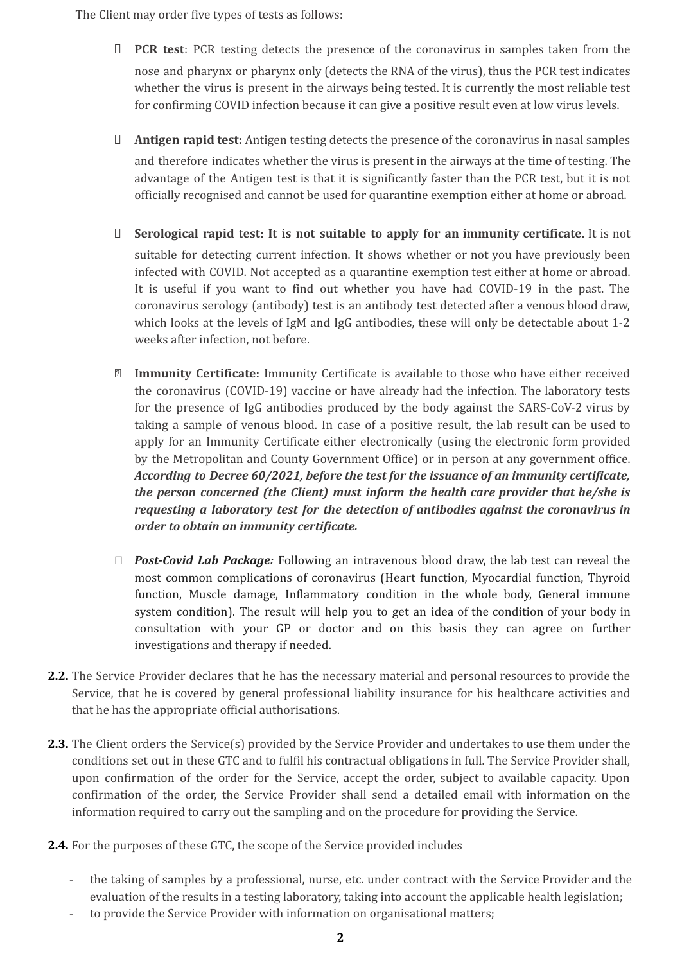The Client may order five types of tests as follows:

- ⮚ **PCR test**: PCR testing detects the presence of the coronavirus in samples taken from the nose and pharynx or pharynx only (detects the RNA of the virus), thus the PCR test indicates whether the virus is present in the airways being tested. It is currently the most reliable test for confirming COVID infection because it can give a positive result even at low virus levels.
- ⮚ **Antigen rapid test:** Antigen testing detects the presence of the coronavirus in nasal samples and therefore indicates whether the virus is present in the airways at the time of testing. The advantage of the Antigen test is that it is significantly faster than the PCR test, but it is not officially recognised and cannot be used for quarantine exemption either at home or abroad.
- ⮚ **Serological rapid test: It is not suitable to apply for an immunity certificate.** It is not suitable for detecting current infection. It shows whether or not you have previously been infected with COVID. Not accepted as a quarantine exemption test either at home or abroad. It is useful if you want to find out whether you have had COVID-19 in the past. The coronavirus serology (antibody) test is an antibody test detected after a venous blood draw, which looks at the levels of IgM and IgG antibodies, these will only be detectable about 1-2 weeks after infection, not before.
- **⮚ Immunity Certificate:** Immunity Certificate is available to those who have either received the coronavirus (COVID-19) vaccine or have already had the infection. The laboratory tests for the presence of IgG antibodies produced by the body against the SARS-CoV-2 virus by taking a sample of venous blood. In case of a positive result, the lab result can be used to apply for an Immunity Certificate either electronically (using the electronic form provided by the Metropolitan and County Government Office) or in person at any government office. *According to Decree 60/2021, before the test for the issuance of an immunity certificate, the person concerned (the Client) must inform the health care provider that he/she is requesting a laboratory test for the detection of antibodies against the coronavirus in order to obtain an immunity certificate.*
- *⮚ Post-Covid Lab Package:* Following an intravenous blood draw, the lab test can reveal the most common complications of coronavirus (Heart function, Myocardial function, Thyroid function, Muscle damage, Inflammatory condition in the whole body, General immune system condition). The result will help you to get an idea of the condition of your body in consultation with your GP or doctor and on this basis they can agree on further investigations and therapy if needed.
- **2.2.** The Service Provider declares that he has the necessary material and personal resources to provide the Service, that he is covered by general professional liability insurance for his healthcare activities and that he has the appropriate official authorisations.
- **2.3.** The Client orders the Service(s) provided by the Service Provider and undertakes to use them under the conditions set out in these GTC and to fulfil his contractual obligations in full. The Service Provider shall, upon confirmation of the order for the Service, accept the order, subject to available capacity. Upon confirmation of the order, the Service Provider shall send a detailed email with information on the information required to carry out the sampling and on the procedure for providing the Service.
- **2.4.** For the purposes of these GTC, the scope of the Service provided includes
	- the taking of samples by a professional, nurse, etc. under contract with the Service Provider and the evaluation of the results in a testing laboratory, taking into account the applicable health legislation;
	- to provide the Service Provider with information on organisational matters;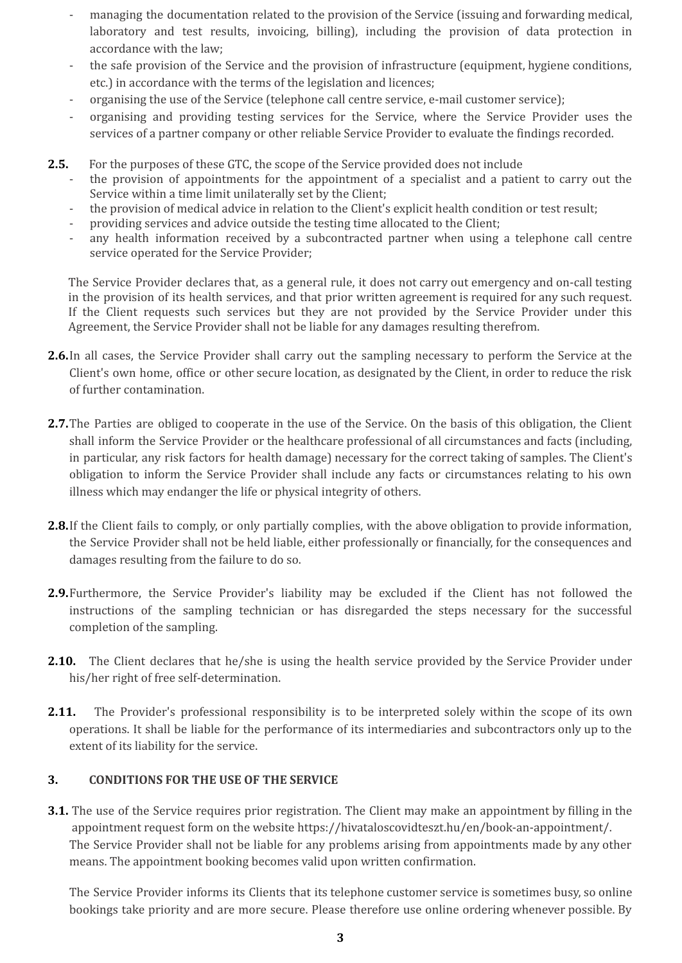- managing the documentation related to the provision of the Service (issuing and forwarding medical, laboratory and test results, invoicing, billing), including the provision of data protection in accordance with the law;
- the safe provision of the Service and the provision of infrastructure (equipment, hygiene conditions, etc.) in accordance with the terms of the legislation and licences;
- organising the use of the Service (telephone call centre service, e-mail customer service);
- organising and providing testing services for the Service, where the Service Provider uses the services of a partner company or other reliable Service Provider to evaluate the findings recorded.
- **2.5.** For the purposes of these GTC, the scope of the Service provided does not include
	- the provision of appointments for the appointment of a specialist and a patient to carry out the Service within a time limit unilaterally set by the Client;
	- the provision of medical advice in relation to the Client's explicit health condition or test result;
	- providing services and advice outside the testing time allocated to the Client;
	- any health information received by a subcontracted partner when using a telephone call centre service operated for the Service Provider;

The Service Provider declares that, as a general rule, it does not carry out emergency and on-call testing in the provision of its health services, and that prior written agreement is required for any such request. If the Client requests such services but they are not provided by the Service Provider under this Agreement, the Service Provider shall not be liable for any damages resulting therefrom.

- **2.6.**In all cases, the Service Provider shall carry out the sampling necessary to perform the Service at the Client's own home, office or other secure location, as designated by the Client, in order to reduce the risk of further contamination.
- **2.7.** The Parties are obliged to cooperate in the use of the Service. On the basis of this obligation, the Client shall inform the Service Provider or the healthcare professional of all circumstances and facts (including, in particular, any risk factors for health damage) necessary for the correct taking of samples. The Client's obligation to inform the Service Provider shall include any facts or circumstances relating to his own illness which may endanger the life or physical integrity of others.
- **2.8.**If the Client fails to comply, or only partially complies, with the above obligation to provide information, the Service Provider shall not be held liable, either professionally or financially, for the consequences and damages resulting from the failure to do so.
- **2.9.**Furthermore, the Service Provider's liability may be excluded if the Client has not followed the instructions of the sampling technician or has disregarded the steps necessary for the successful completion of the sampling.
- **2.10.** The Client declares that he/she is using the health service provided by the Service Provider under his/her right of free self-determination.
- **2.11.** The Provider's professional responsibility is to be interpreted solely within the scope of its own operations. It shall be liable for the performance of its intermediaries and subcontractors only up to the extent of its liability for the service.

## **3. CONDITIONS FOR THE USE OF THE SERVICE**

**3.1.** The use of the Service requires prior registration. The Client may make an appointment by filling in the appointment request form on the website https://hivataloscovidteszt.hu/en/book-an-appointment/. The Service Provider shall not be liable for any problems arising from appointments made by any other means. The appointment booking becomes valid upon written confirmation.

The Service Provider informs its Clients that its telephone customer service is sometimes busy, so online bookings take priority and are more secure. Please therefore use online ordering whenever possible. By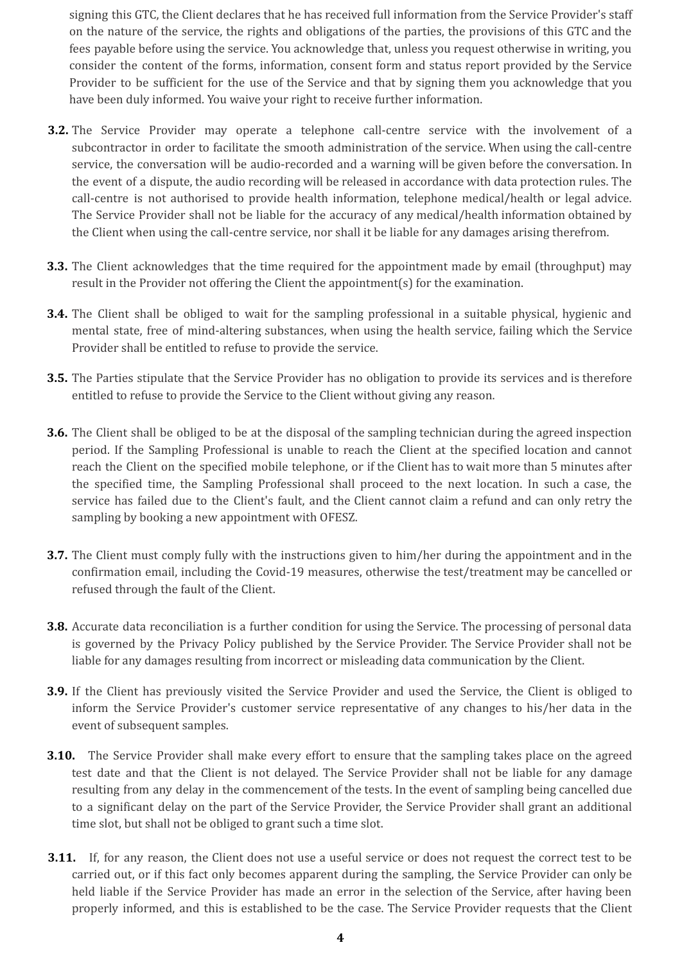signing this GTC, the Client declares that he has received full information from the Service Provider's staff on the nature of the service, the rights and obligations of the parties, the provisions of this GTC and the fees payable before using the service. You acknowledge that, unless you request otherwise in writing, you consider the content of the forms, information, consent form and status report provided by the Service Provider to be sufficient for the use of the Service and that by signing them you acknowledge that you have been duly informed. You waive your right to receive further information.

- **3.2.** The Service Provider may operate a telephone call-centre service with the involvement of a subcontractor in order to facilitate the smooth administration of the service. When using the call-centre service, the conversation will be audio-recorded and a warning will be given before the conversation. In the event of a dispute, the audio recording will be released in accordance with data protection rules. The call-centre is not authorised to provide health information, telephone medical/health or legal advice. The Service Provider shall not be liable for the accuracy of any medical/health information obtained by the Client when using the call-centre service, nor shall it be liable for any damages arising therefrom.
- **3.3.** The Client acknowledges that the time required for the appointment made by email (throughput) may result in the Provider not offering the Client the appointment(s) for the examination.
- **3.4.** The Client shall be obliged to wait for the sampling professional in a suitable physical, hygienic and mental state, free of mind-altering substances, when using the health service, failing which the Service Provider shall be entitled to refuse to provide the service.
- **3.5.** The Parties stipulate that the Service Provider has no obligation to provide its services and is therefore entitled to refuse to provide the Service to the Client without giving any reason.
- **3.6.** The Client shall be obliged to be at the disposal of the sampling technician during the agreed inspection period. If the Sampling Professional is unable to reach the Client at the specified location and cannot reach the Client on the specified mobile telephone, or if the Client has to wait more than 5 minutes after the specified time, the Sampling Professional shall proceed to the next location. In such a case, the service has failed due to the Client's fault, and the Client cannot claim a refund and can only retry the sampling by booking a new appointment with OFESZ.
- **3.7.** The Client must comply fully with the instructions given to him/her during the appointment and in the confirmation email, including the Covid-19 measures, otherwise the test/treatment may be cancelled or refused through the fault of the Client.
- **3.8.** Accurate data reconciliation is a further condition for using the Service. The processing of personal data is governed by the Privacy Policy published by the Service Provider. The Service Provider shall not be liable for any damages resulting from incorrect or misleading data communication by the Client.
- **3.9.** If the Client has previously visited the Service Provider and used the Service, the Client is obliged to inform the Service Provider's customer service representative of any changes to his/her data in the event of subsequent samples.
- **3.10.** The Service Provider shall make every effort to ensure that the sampling takes place on the agreed test date and that the Client is not delayed. The Service Provider shall not be liable for any damage resulting from any delay in the commencement of the tests. In the event of sampling being cancelled due to a significant delay on the part of the Service Provider, the Service Provider shall grant an additional time slot, but shall not be obliged to grant such a time slot.
- **3.11.** If, for any reason, the Client does not use a useful service or does not request the correct test to be carried out, or if this fact only becomes apparent during the sampling, the Service Provider can only be held liable if the Service Provider has made an error in the selection of the Service, after having been properly informed, and this is established to be the case. The Service Provider requests that the Client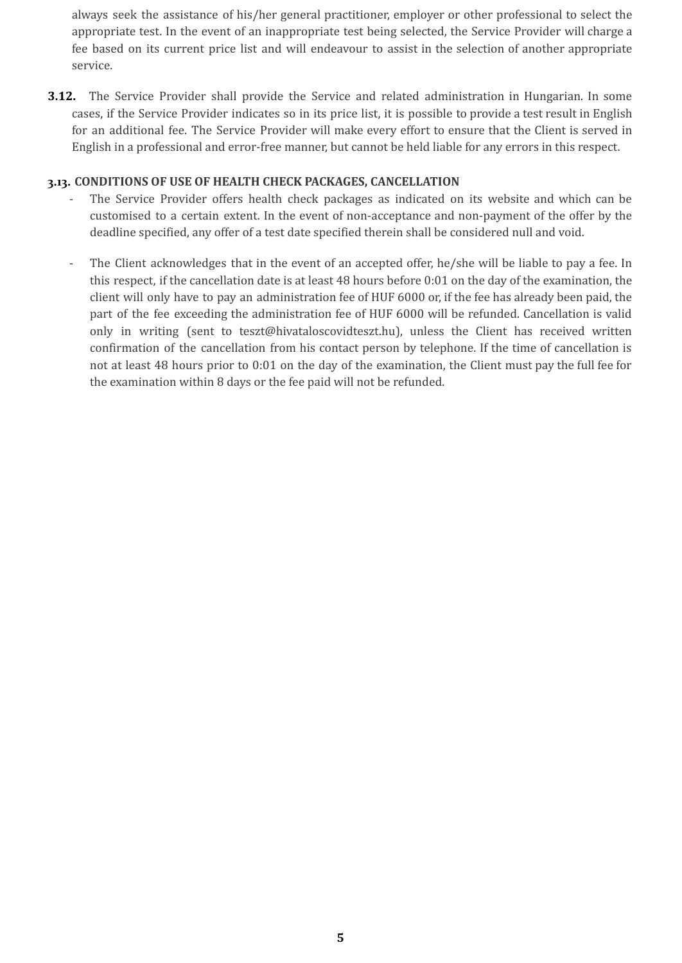always seek the assistance of his/her general practitioner, employer or other professional to select the appropriate test. In the event of an inappropriate test being selected, the Service Provider will charge a fee based on its current price list and will endeavour to assist in the selection of another appropriate service.

**3.12.** The Service Provider shall provide the Service and related administration in Hungarian. In some cases, if the Service Provider indicates so in its price list, it is possible to provide a test result in English for an additional fee. The Service Provider will make every effort to ensure that the Client is served in English in a professional and error-free manner, but cannot be held liable for any errors in this respect.

### **3.13. CONDITIONS OF USE OF HEALTH CHECK PACKAGES, CANCELLATION**

- The Service Provider offers health check packages as indicated on its website and which can be customised to a certain extent. In the event of non-acceptance and non-payment of the offer by the deadline specified, any offer of a test date specified therein shall be considered null and void.
- The Client acknowledges that in the event of an accepted offer, he/she will be liable to pay a fee. In this respect, if the cancellation date is at least 48 hours before 0:01 on the day of the examination, the client will only have to pay an administration fee of HUF 6000 or, if the fee has already been paid, the part of the fee exceeding the administration fee of HUF 6000 will be refunded. Cancellation is valid only in writing (sent to teszt@hivataloscovidteszt.hu), unless the Client has received written confirmation of the cancellation from his contact person by telephone. If the time of cancellation is not at least 48 hours prior to 0:01 on the day of the examination, the Client must pay the full fee for the examination within 8 days or the fee paid will not be refunded.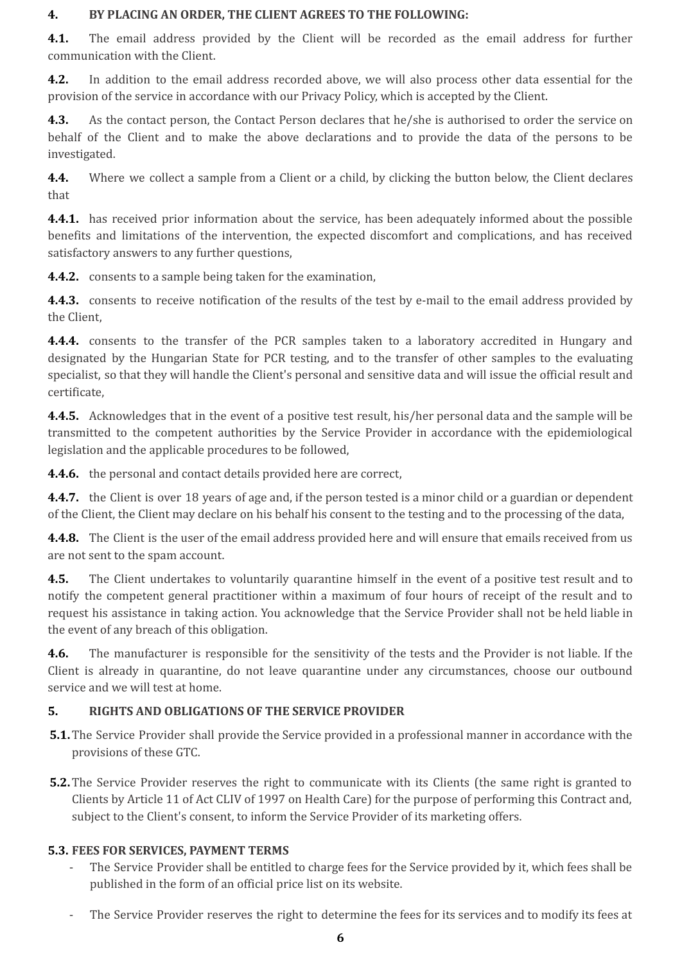### **4. BY PLACING AN ORDER, THE CLIENT AGREES TO THE FOLLOWING:**

**4.1.** The email address provided by the Client will be recorded as the email address for further communication with the Client.

**4.2.** In addition to the email address recorded above, we will also process other data essential for the provision of the service in accordance with our Privacy Policy, which is accepted by the Client.

**4.3.** As the contact person, the Contact Person declares that he/she is authorised to order the service on behalf of the Client and to make the above declarations and to provide the data of the persons to be investigated.

**4.4.** Where we collect a sample from a Client or a child, by clicking the button below, the Client declares that

**4.4.1.** has received prior information about the service, has been adequately informed about the possible benefits and limitations of the intervention, the expected discomfort and complications, and has received satisfactory answers to any further questions,

**4.4.2.** consents to a sample being taken for the examination,

**4.4.3.** consents to receive notification of the results of the test by e-mail to the email address provided by the Client,

**4.4.4.** consents to the transfer of the PCR samples taken to a laboratory accredited in Hungary and designated by the Hungarian State for PCR testing, and to the transfer of other samples to the evaluating specialist, so that they will handle the Client's personal and sensitive data and will issue the official result and certificate,

**4.4.5.** Acknowledges that in the event of a positive test result, his/her personal data and the sample will be transmitted to the competent authorities by the Service Provider in accordance with the epidemiological legislation and the applicable procedures to be followed,

**4.4.6.** the personal and contact details provided here are correct,

**4.4.7.** the Client is over 18 years of age and, if the person tested is a minor child or a guardian or dependent of the Client, the Client may declare on his behalf his consent to the testing and to the processing of the data,

**4.4.8.** The Client is the user of the email address provided here and will ensure that emails received from us are not sent to the spam account.

**4.5.** The Client undertakes to voluntarily quarantine himself in the event of a positive test result and to notify the competent general practitioner within a maximum of four hours of receipt of the result and to request his assistance in taking action. You acknowledge that the Service Provider shall not be held liable in the event of any breach of this obligation.

**4.6.** The manufacturer is responsible for the sensitivity of the tests and the Provider is not liable. If the Client is already in quarantine, do not leave quarantine under any circumstances, choose our outbound service and we will test at home.

## **5. RIGHTS AND OBLIGATIONS OF THE SERVICE PROVIDER**

- **5.1.**The Service Provider shall provide the Service provided in a professional manner in accordance with the provisions of these GTC.
- **5.2.**The Service Provider reserves the right to communicate with its Clients (the same right is granted to Clients by Article 11 of Act CLIV of 1997 on Health Care) for the purpose of performing this Contract and, subject to the Client's consent, to inform the Service Provider of its marketing offers.

## **5.3. FEES FOR SERVICES, PAYMENT TERMS**

- The Service Provider shall be entitled to charge fees for the Service provided by it, which fees shall be published in the form of an official price list on its website.
- The Service Provider reserves the right to determine the fees for its services and to modify its fees at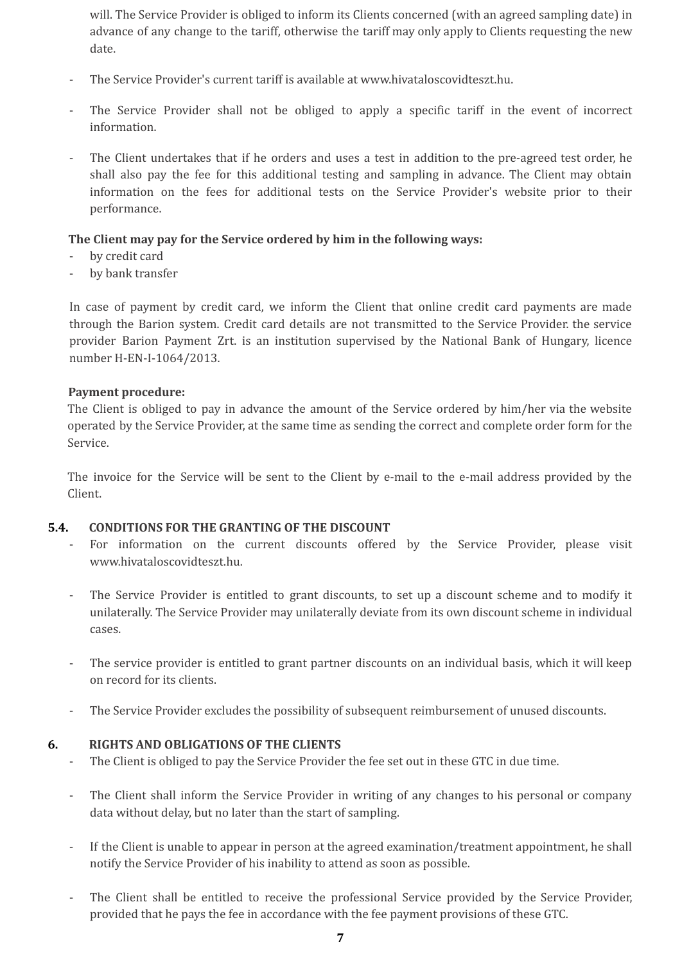will. The Service Provider is obliged to inform its Clients concerned (with an agreed sampling date) in advance of any change to the tariff, otherwise the tariff may only apply to Clients requesting the new date.

- The Service Provider's current tariff is available at www.hivataloscovidteszt.hu.
- The Service Provider shall not be obliged to apply a specific tariff in the event of incorrect information.
- The Client undertakes that if he orders and uses a test in addition to the pre-agreed test order, he shall also pay the fee for this additional testing and sampling in advance. The Client may obtain information on the fees for additional tests on the Service Provider's website prior to their performance.

### **The Client may pay for the Service ordered by him in the following ways:**

- by credit card
- by bank transfer

In case of payment by credit card, we inform the Client that online credit card payments are made through the Barion system. Credit card details are not transmitted to the Service Provider. the service provider Barion Payment Zrt. is an institution supervised by the National Bank of Hungary, licence number H-EN-I-1064/2013.

#### **Payment procedure:**

The Client is obliged to pay in advance the amount of the Service ordered by him/her via the website operated by the Service Provider, at the same time as sending the correct and complete order form for the Service.

The invoice for the Service will be sent to the Client by e-mail to the e-mail address provided by the Client.

### **5.4. CONDITIONS FOR THE GRANTING OF THE DISCOUNT**

- For information on the current discounts offered by the Service Provider, please visit www.hivataloscovidteszt.hu.
- The Service Provider is entitled to grant discounts, to set up a discount scheme and to modify it unilaterally. The Service Provider may unilaterally deviate from its own discount scheme in individual cases.
- The service provider is entitled to grant partner discounts on an individual basis, which it will keep on record for its clients.
- The Service Provider excludes the possibility of subsequent reimbursement of unused discounts.

### **6. RIGHTS AND OBLIGATIONS OF THE CLIENTS**

- The Client is obliged to pay the Service Provider the fee set out in these GTC in due time.
- The Client shall inform the Service Provider in writing of any changes to his personal or company data without delay, but no later than the start of sampling.
- If the Client is unable to appear in person at the agreed examination/treatment appointment, he shall notify the Service Provider of his inability to attend as soon as possible.
- The Client shall be entitled to receive the professional Service provided by the Service Provider, provided that he pays the fee in accordance with the fee payment provisions of these GTC.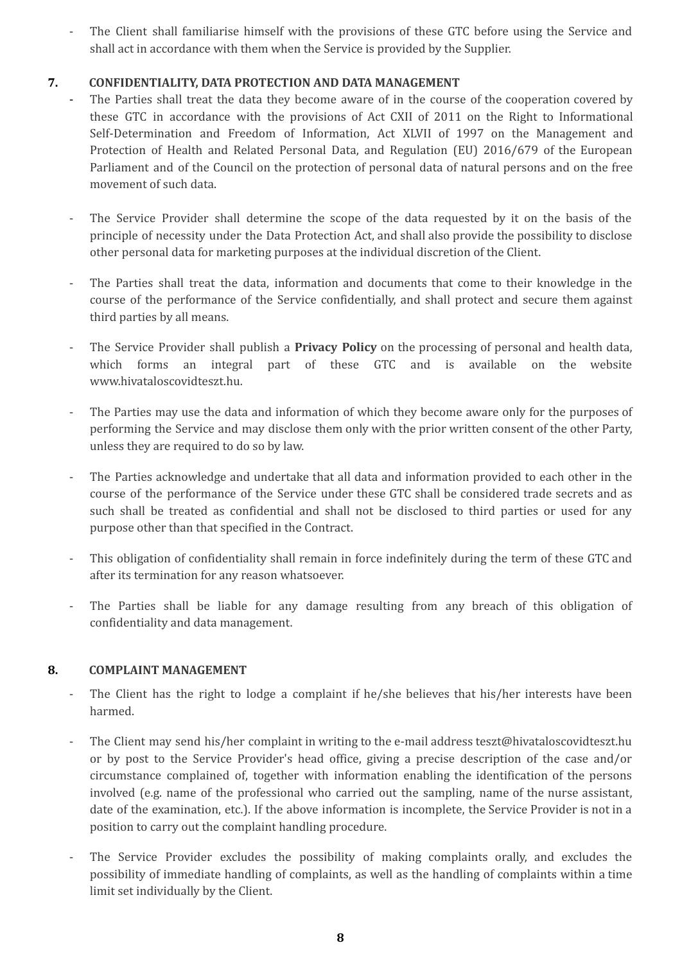The Client shall familiarise himself with the provisions of these GTC before using the Service and shall act in accordance with them when the Service is provided by the Supplier.

## **7. CONFIDENTIALITY, DATA PROTECTION AND DATA MANAGEMENT**

- **-** The Parties shall treat the data they become aware of in the course of the cooperation covered by these GTC in accordance with the provisions of Act CXII of 2011 on the Right to Informational Self-Determination and Freedom of Information, Act XLVII of 1997 on the Management and Protection of Health and Related Personal Data, and Regulation (EU) 2016/679 of the European Parliament and of the Council on the protection of personal data of natural persons and on the free movement of such data.
- The Service Provider shall determine the scope of the data requested by it on the basis of the principle of necessity under the Data Protection Act, and shall also provide the possibility to disclose other personal data for marketing purposes at the individual discretion of the Client.
- The Parties shall treat the data, information and documents that come to their knowledge in the course of the performance of the Service confidentially, and shall protect and secure them against third parties by all means.
- The Service Provider shall publish a **Privacy Policy** on the processing of personal and health data, which forms an integral part of these GTC and is available on the website www.hivataloscovidteszt.hu.
- The Parties may use the data and information of which they become aware only for the purposes of performing the Service and may disclose them only with the prior written consent of the other Party, unless they are required to do so by law.
- The Parties acknowledge and undertake that all data and information provided to each other in the course of the performance of the Service under these GTC shall be considered trade secrets and as such shall be treated as confidential and shall not be disclosed to third parties or used for any purpose other than that specified in the Contract.
- This obligation of confidentiality shall remain in force indefinitely during the term of these GTC and after its termination for any reason whatsoever.
- The Parties shall be liable for any damage resulting from any breach of this obligation of confidentiality and data management.

## **8. COMPLAINT MANAGEMENT**

- The Client has the right to lodge a complaint if he/she believes that his/her interests have been harmed.
- The Client may send his/her complaint in writing to the e-mail address teszt@hivataloscovidteszt.hu or by post to the Service Provider's head office, giving a precise description of the case and/or circumstance complained of, together with information enabling the identification of the persons involved (e.g. name of the professional who carried out the sampling, name of the nurse assistant, date of the examination, etc.). If the above information is incomplete, the Service Provider is not in a position to carry out the complaint handling procedure.
- The Service Provider excludes the possibility of making complaints orally, and excludes the possibility of immediate handling of complaints, as well as the handling of complaints within a time limit set individually by the Client.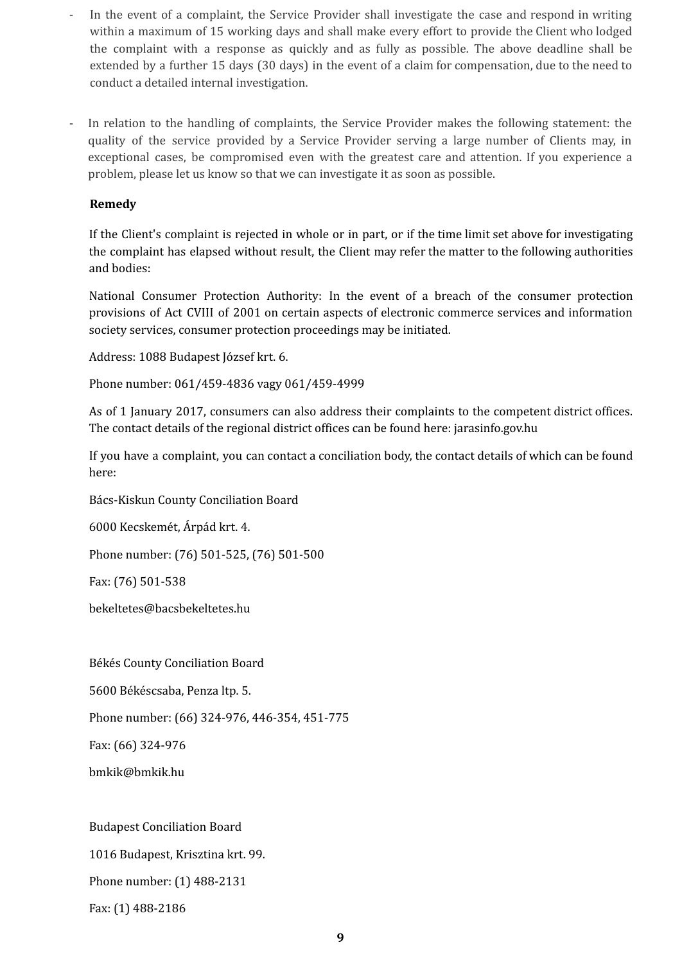- In the event of a complaint, the Service Provider shall investigate the case and respond in writing within a maximum of 15 working days and shall make every effort to provide the Client who lodged the complaint with a response as quickly and as fully as possible. The above deadline shall be extended by a further 15 days (30 days) in the event of a claim for compensation, due to the need to conduct a detailed internal investigation.
- In relation to the handling of complaints, the Service Provider makes the following statement: the quality of the service provided by a Service Provider serving a large number of Clients may, in exceptional cases, be compromised even with the greatest care and attention. If you experience a problem, please let us know so that we can investigate it as soon as possible.

### **Remedy**

If the Client's complaint is rejected in whole or in part, or if the time limit set above for investigating the complaint has elapsed without result, the Client may refer the matter to the following authorities and bodies:

National Consumer Protection Authority: In the event of a breach of the consumer protection provisions of Act CVIII of 2001 on certain aspects of electronic commerce services and information society services, consumer protection proceedings may be initiated.

Address: 1088 Budapest József krt. 6.

Phone number: 061/459-4836 vagy 061/459-4999

As of 1 January 2017, consumers can also address their complaints to the competent district offices. The contact details of the regional district offices can be found here: jarasinfo.gov.hu

If you have a complaint, you can contact a conciliation body, the contact details of which can be found here:

Bács-Kiskun County Conciliation Board

6000 Kecskemét, Árpád krt. 4.

Phone number: (76) 501-525, (76) 501-500

Fax: (76) 501-538

bekeltetes@bacsbekeltetes.hu

Békés County Conciliation Board

5600 Békéscsaba, Penza ltp. 5.

Phone number: (66) 324-976, 446-354, 451-775

Fax: (66) 324-976

bmkik@bmkik.hu

Budapest Conciliation Board 1016 Budapest, Krisztina krt. 99.

Phone number: (1) 488-2131

Fax: (1) 488-2186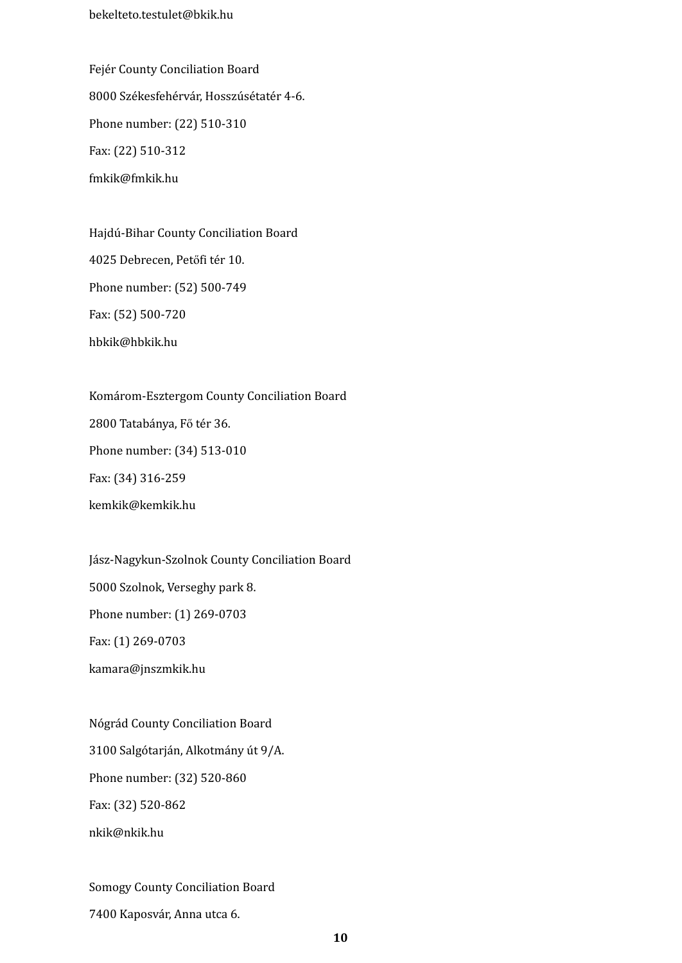bekelteto.testulet@bkik.hu

Fejér County Conciliation Board 8000 Székesfehérvár, Hosszúsétatér 4-6. Phone number: (22) 510-310 Fax: (22) 510-312 fmkik@fmkik.hu

Hajdú-Bihar County Conciliation Board 4025 Debrecen, Petőfi tér 10. Phone number: (52) 500-749 Fax: (52) 500-720 hbkik@hbkik.hu

Komárom-Esztergom County Conciliation Board 2800 Tatabánya, Fő tér 36. Phone number: (34) 513-010 Fax: (34) 316-259 kemkik@kemkik.hu

Jász-Nagykun-Szolnok County Conciliation Board 5000 Szolnok, Verseghy park 8. Phone number: (1) 269-0703 Fax: (1) 269-0703 kamara@jnszmkik.hu

Nógrád County Conciliation Board 3100 Salgótarján, Alkotmány út 9/A. Phone number: (32) 520-860 Fax: (32) 520-862 nkik@nkik.hu

Somogy County Conciliation Board

7400 Kaposvár, Anna utca 6.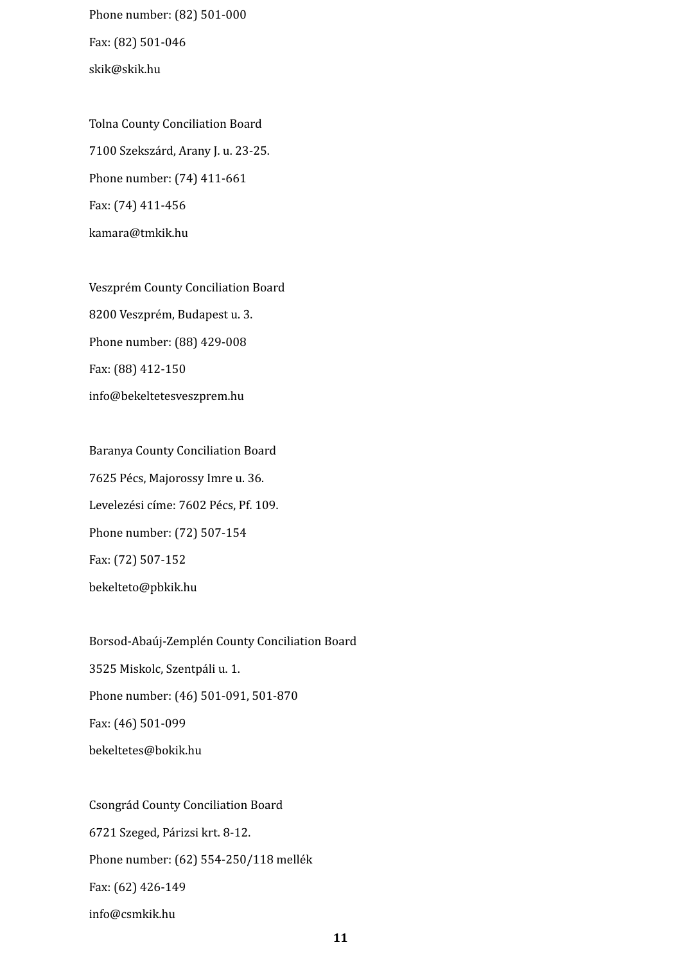Phone number: (82) 501-000 Fax: (82) 501-046 skik@skik.hu

Tolna County Conciliation Board 7100 Szekszárd, Arany J. u. 23-25. Phone number: (74) 411-661 Fax: (74) 411-456 kamara@tmkik.hu

Veszprém County Conciliation Board 8200 Veszprém, Budapest u. 3. Phone number: (88) 429-008 Fax: (88) 412-150 info@bekeltetesveszprem.hu

Baranya County Conciliation Board 7625 Pécs, Majorossy Imre u. 36. Levelezési címe: 7602 Pécs, Pf. 109. Phone number: (72) 507-154 Fax: (72) 507-152 bekelteto@pbkik.hu

Borsod-Abaúj-Zemplén County Conciliation Board 3525 Miskolc, Szentpáli u. 1. Phone number: (46) 501-091, 501-870 Fax: (46) 501-099 bekeltetes@bokik.hu

Csongrád County Conciliation Board 6721 Szeged, Párizsi krt. 8-12. Phone number: (62) 554-250/118 mellék Fax: (62) 426-149 info@csmkik.hu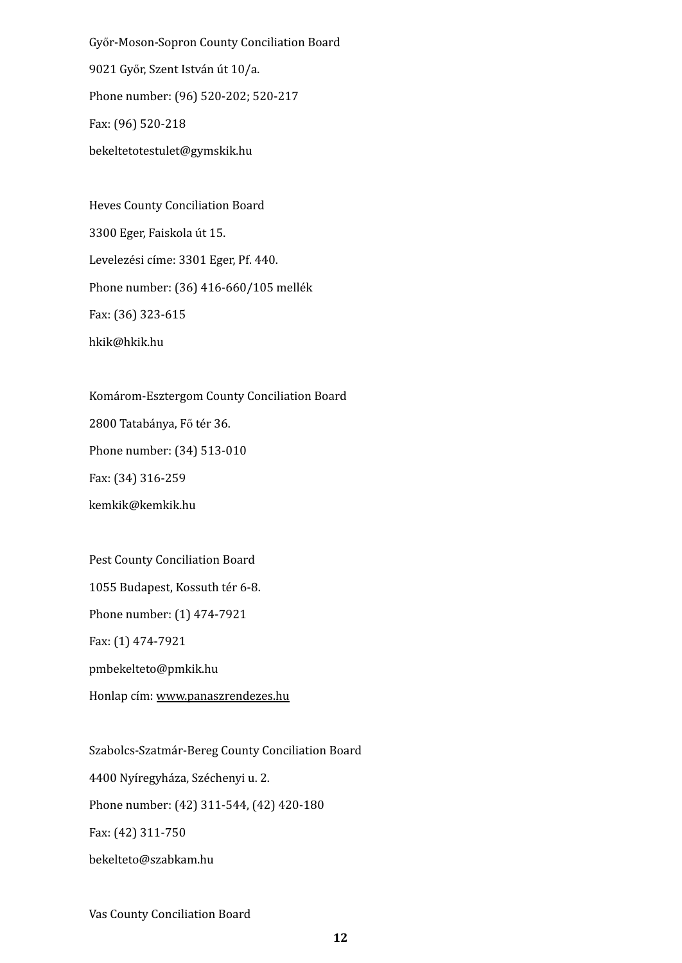Győr-Moson-Sopron County Conciliation Board 9021 Győr, Szent István út 10/a. Phone number: (96) 520-202; 520-217 Fax: (96) 520-218 bekeltetotestulet@gymskik.hu

Heves County Conciliation Board 3300 Eger, Faiskola út 15. Levelezési címe: 3301 Eger, Pf. 440. Phone number: (36) 416-660/105 mellék Fax: (36) 323-615 hkik@hkik.hu

Komárom-Esztergom County Conciliation Board

2800 Tatabánya, Fő tér 36.

Phone number: (34) 513-010

Fax: (34) 316-259

kemkik@kemkik.hu

Pest County Conciliation Board 1055 Budapest, Kossuth tér 6-8. Phone number: (1) 474-7921 Fax: (1) 474-7921 pmbekelteto@pmkik.hu Honlap cím: [www.panaszrendezes.hu](http://www.panaszrendezes.hu/)

Szabolcs-Szatmár-Bereg County Conciliation Board 4400 Nyíregyháza, Széchenyi u. 2. Phone number: (42) 311-544, (42) 420-180 Fax: (42) 311-750 bekelteto@szabkam.hu

Vas County Conciliation Board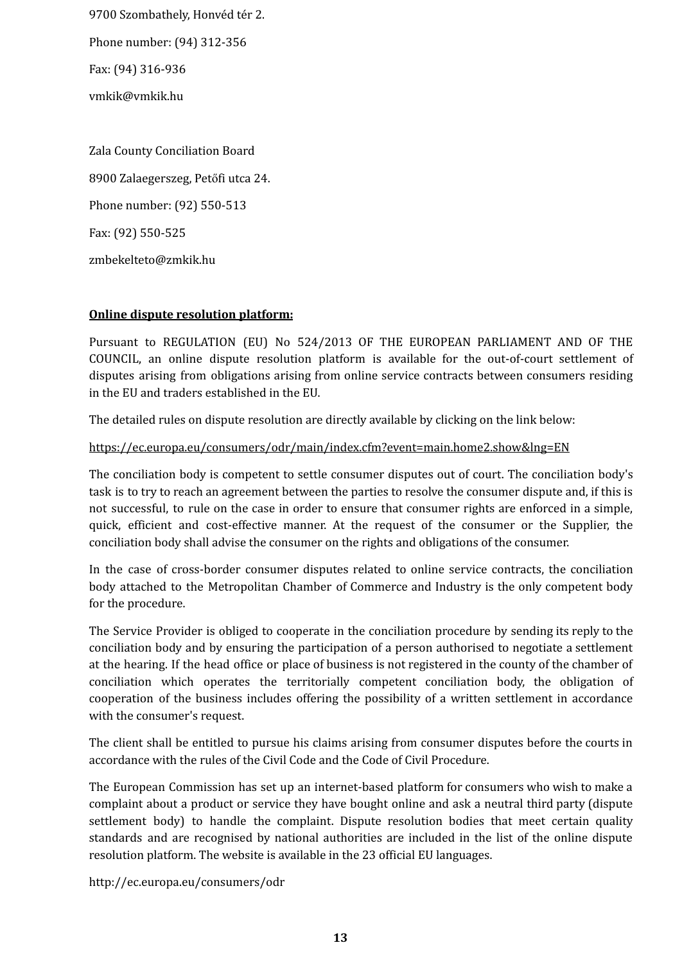9700 Szombathely, Honvéd tér 2.

Phone number: (94) 312-356

Fax: (94) 316-936

vmkik@vmkik.hu

Zala County Conciliation Board 8900 Zalaegerszeg, Petőfi utca 24. Phone number: (92) 550-513 Fax: (92) 550-525 zmbekelteto@zmkik.hu

# **Online dispute resolution platform:**

Pursuant to REGULATION (EU) No 524/2013 OF THE EUROPEAN PARLIAMENT AND OF THE COUNCIL, an online dispute resolution platform is available for the out-of-court settlement of disputes arising from obligations arising from online service contracts between consumers residing in the EU and traders established in the EU.

The detailed rules on dispute resolution are directly available by clicking on the link below:

## https://ec.europa.eu/consumers/odr/main/index.cfm?event=main.home2.show&lng=EN

The conciliation body is competent to settle consumer disputes out of court. The conciliation body's task is to try to reach an agreement between the parties to resolve the consumer dispute and, if this is not successful, to rule on the case in order to ensure that consumer rights are enforced in a simple, quick, efficient and cost-effective manner. At the request of the consumer or the Supplier, the conciliation body shall advise the consumer on the rights and obligations of the consumer.

In the case of cross-border consumer disputes related to online service contracts, the conciliation body attached to the Metropolitan Chamber of Commerce and Industry is the only competent body for the procedure.

The Service Provider is obliged to cooperate in the conciliation procedure by sending its reply to the conciliation body and by ensuring the participation of a person authorised to negotiate a settlement at the hearing. If the head office or place of business is not registered in the county of the chamber of conciliation which operates the territorially competent conciliation body, the obligation of cooperation of the business includes offering the possibility of a written settlement in accordance with the consumer's request.

The client shall be entitled to pursue his claims arising from consumer disputes before the courts in accordance with the rules of the Civil Code and the Code of Civil Procedure.

The European Commission has set up an internet-based platform for consumers who wish to make a complaint about a product or service they have bought online and ask a neutral third party (dispute settlement body) to handle the complaint. Dispute resolution bodies that meet certain quality standards and are recognised by national authorities are included in the list of the online dispute resolution platform. The website is available in the 23 official EU languages.

http://ec.europa.eu/consumers/odr